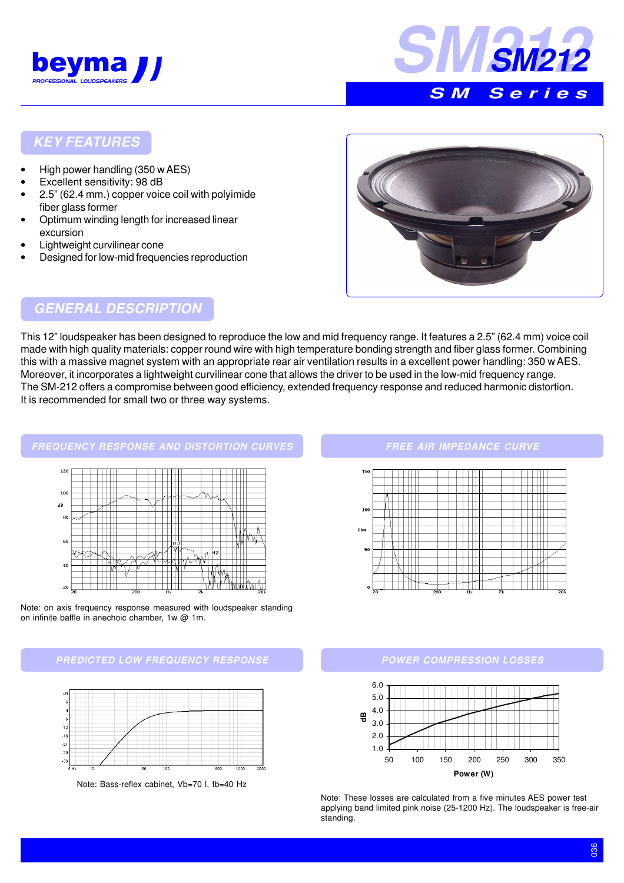



#### **KEY FEATURES**

- High power handling (350 w AES)
- Excellent sensitivity: 98 dB
- 2.5" (62.4 mm.) copper voice coil with polyimide fiber glass former
- Optimum winding length for increased linear excursion
- Lightweight curvilinear cone
- Designed for low-mid frequencies reproduction



## **GENERAL DESCRIPTION**

This 12" loudspeaker has been designed to reproduce the low and mid frequency range. It features a 2.5" (62.4 mm) voice coil made with high quality materials: copper round wire with high temperature bonding strength and fiber glass former. Combining this with a massive magnet system with an appropriate rear air ventilation results in a excellent power handling: 350 w AES. Moreover, it incorporates a lightweight curvilinear cone that allows the driver to be used in the low-mid frequency range. The SM-212 offers a compromise between good efficiency, extended frequency response and reduced harmonic distortion. It is recommended for small two or three way systems.



Note: on axis frequency response measured with loudspeaker standing on infinite baffle in anechoic chamber, 1w @ 1m.





Note: Bass-reflex cabinet, Vb=70 l, fb=40 Hz

#### **FREE AIR IMPEDANCE CURVE**



#### **POWER COMPRESSION LOSSES**



Note: These losses are calculated from a five minutes AES power test applying band limited pink noise (25-1200 Hz). The loudspeaker is free-air standing.